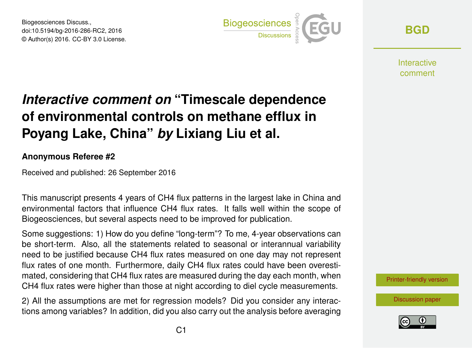Biogeosciences Discuss., doi:10.5194/bg-2016-286-RC2, 2016 © Author(s) 2016. CC-BY 3.0 License.



**[BGD](http://www.biogeosciences-discuss.net/)**

**Interactive** comment

## *Interactive comment on* **"Timescale dependence of environmental controls on methane efflux in Poyang Lake, China"** *by* **Lixiang Liu et al.**

## **Anonymous Referee #2**

Received and published: 26 September 2016

This manuscript presents 4 years of CH4 flux patterns in the largest lake in China and environmental factors that influence CH4 flux rates. It falls well within the scope of Biogeosciences, but several aspects need to be improved for publication.

Some suggestions: 1) How do you define "long-term"? To me, 4-year observations can be short-term. Also, all the statements related to seasonal or interannual variability need to be justified because CH4 flux rates measured on one day may not represent flux rates of one month. Furthermore, daily CH4 flux rates could have been overestimated, considering that CH4 flux rates are measured during the day each month, when CH4 flux rates were higher than those at night according to diel cycle measurements.

2) All the assumptions are met for regression models? Did you consider any interactions among variables? In addition, did you also carry out the analysis before averaging

[Printer-friendly version](http://www.biogeosciences-discuss.net/bg-2016-286/bg-2016-286-RC2-print.pdf)

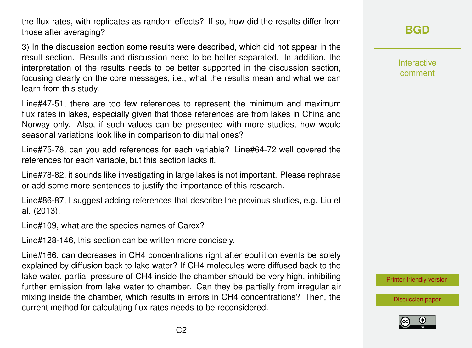the flux rates, with replicates as random effects? If so, how did the results differ from those after averaging?

3) In the discussion section some results were described, which did not appear in the result section. Results and discussion need to be better separated. In addition, the interpretation of the results needs to be better supported in the discussion section, focusing clearly on the core messages, i.e., what the results mean and what we can learn from this study.

Line#47-51, there are too few references to represent the minimum and maximum flux rates in lakes, especially given that those references are from lakes in China and Norway only. Also, if such values can be presented with more studies, how would seasonal variations look like in comparison to diurnal ones?

Line#75-78, can you add references for each variable? Line#64-72 well covered the references for each variable, but this section lacks it.

Line#78-82, it sounds like investigating in large lakes is not important. Please rephrase or add some more sentences to justify the importance of this research.

Line#86-87, I suggest adding references that describe the previous studies, e.g. Liu et al. (2013).

Line#109, what are the species names of Carex?

Line#128-146, this section can be written more concisely.

Line#166, can decreases in CH4 concentrations right after ebullition events be solely explained by diffusion back to lake water? If CH4 molecules were diffused back to the lake water, partial pressure of CH4 inside the chamber should be very high, inhibiting further emission from lake water to chamber. Can they be partially from irregular air mixing inside the chamber, which results in errors in CH4 concentrations? Then, the current method for calculating flux rates needs to be reconsidered.

**[BGD](http://www.biogeosciences-discuss.net/)**

Interactive comment

[Printer-friendly version](http://www.biogeosciences-discuss.net/bg-2016-286/bg-2016-286-RC2-print.pdf)

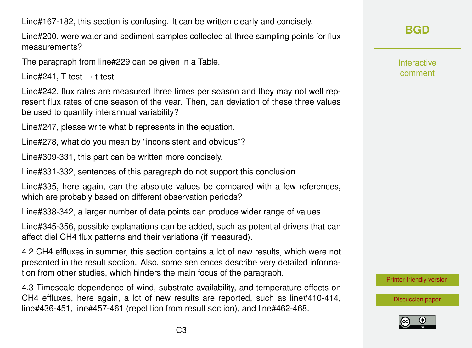Line#167-182, this section is confusing. It can be written clearly and concisely.

Line#200, were water and sediment samples collected at three sampling points for flux measurements?

The paragraph from line#229 can be given in a Table.

Line#241, T test  $\rightarrow$  t-test

Line#242, flux rates are measured three times per season and they may not well represent flux rates of one season of the year. Then, can deviation of these three values be used to quantify interannual variability?

Line#247, please write what b represents in the equation.

Line#278, what do you mean by "inconsistent and obvious"?

Line#309-331, this part can be written more concisely.

Line#331-332, sentences of this paragraph do not support this conclusion.

Line#335, here again, can the absolute values be compared with a few references, which are probably based on different observation periods?

Line#338-342, a larger number of data points can produce wider range of values.

Line#345-356, possible explanations can be added, such as potential drivers that can affect diel CH4 flux patterns and their variations (if measured).

4.2 CH4 effluxes in summer, this section contains a lot of new results, which were not presented in the result section. Also, some sentences describe very detailed information from other studies, which hinders the main focus of the paragraph.

4.3 Timescale dependence of wind, substrate availability, and temperature effects on CH4 effluxes, here again, a lot of new results are reported, such as line#410-414, line#436-451, line#457-461 (repetition from result section), and line#462-468.

Interactive comment

[Printer-friendly version](http://www.biogeosciences-discuss.net/bg-2016-286/bg-2016-286-RC2-print.pdf)